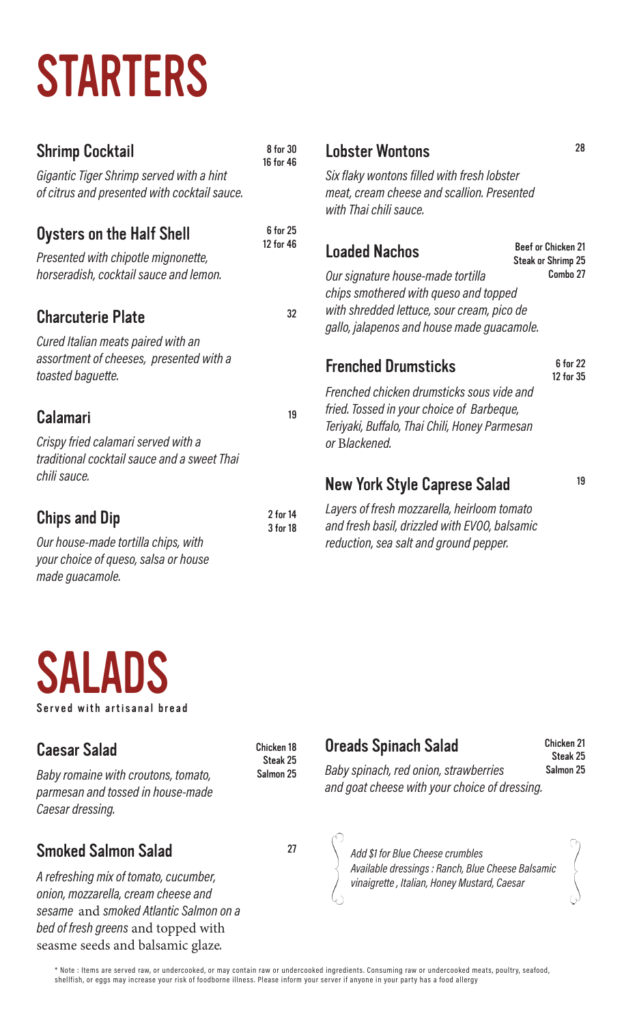# STARTERS

### Shrimp Cocktail

8 for 30 16 for 46

> 6 for 25 12 for 46

> > 32

19

2 for 14 3 for 18

Gigantic Tiger Shrimp served with a hint of citrus and presented with cocktail sauce.

### Oysters on the Half Shell

Presented with chipotle mignonette, horseradish, cocktail sauce and lemon.

### Charcuterie Plate

Cured Italian meats paired with an assortment of cheeses, presented with a toasted baguette.

### Calamari

Crispy fried calamari served with a traditional cocktail sauce and a sweet Thai chili sauce.

# Chips and Dip

Our house-made tortilla chips, with your choice of queso, salsa or house made guacamole.

Lobster Wontons

Six flaky wontons filled with fresh lobster meat, cream cheese and scallion. Presented with Thai chili sauce.

| <b>Loaded Nachos</b>                       | Beef or Chicken 21<br>Steak or Shrimp 25 |
|--------------------------------------------|------------------------------------------|
| Our signature house-made tortilla          | Combo 27                                 |
| chips smothered with queso and topped      |                                          |
| with shredded lettuce, sour cream, pico de |                                          |
| gallo, jalapenos and house made guacamole. |                                          |

# Frenched Drumsticks

6 for 22 12 for 35

28

Frenched chicken drumsticks sous vide and fried. Tossed in your choice of Barbeque, Teriyaki, Buffalo, Thai Chili, Honey Parmesan or Blackened.

# New York Style Caprese Salad

19

Layers of fresh mozzarella, heirloom tomato and fresh basil, drizzled with EVOO, balsamic reduction, sea salt and ground pepper.



# Caesar Salad

Baby romaine with croutons, tomato, parmesan and tossed in house-made Caesar dressing.

# Smoked Salmon Salad

A refreshing mix of tomato, cucumber, onion, mozzarella, cream cheese and sesame and smoked Atlantic Salmon on a bed of fresh greens and topped with seasme seeds and balsamic glaze.

 Chicken 18 Steak 25 Salmon 25

# Oreads Spinach Salad

Chicken 21 Steak 25 Salmon 25

Baby spinach, red onion, strawberries and goat cheese with your choice of dressing.



27 Add \$1 for Blue Cheese crumbles Available dressings : Ranch, Blue Cheese Balsamic vinaigrette , Italian, Honey Mustard, Caesar

\* Note : Items are served raw, or undercooked, or may contain raw or undercooked ingredients. Consuming raw or undercooked meats, poultry, seafood, shellfish, or eggs may increase your risk of foodborne illness. Please inform your server if anyone in your party has a food allergy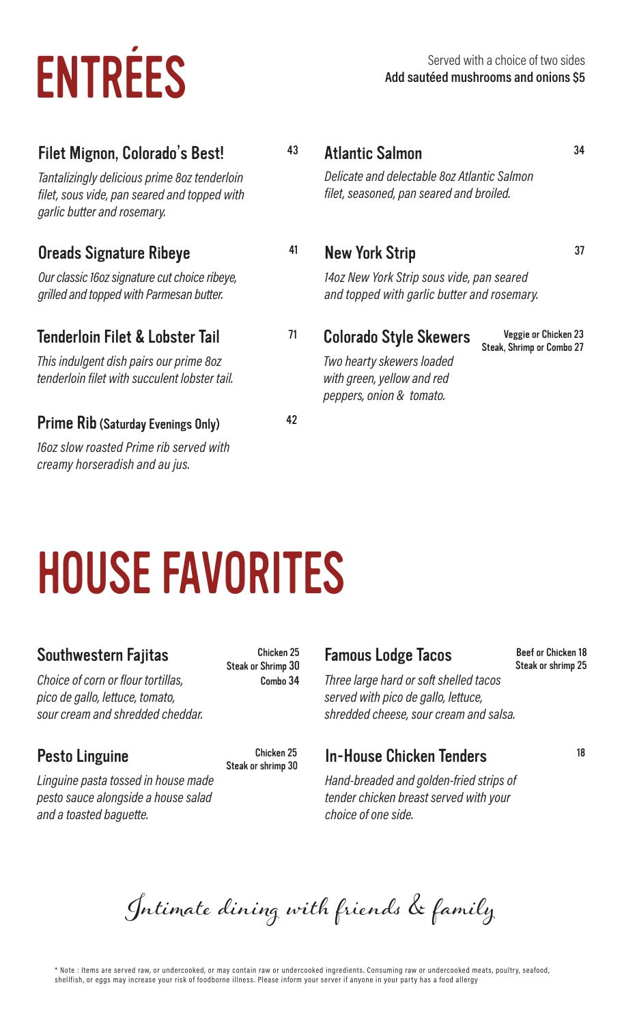# ENTRÉES<br>Add sautéed mushrooms and onions \$5

# Filet Mignon, Colorado's Best!

Tantalizingly delicious prime 8oz tenderloin filet, sous vide, pan seared and topped with garlic butter and rosemary.

#### Oreads Signature Ribeye

Our classic 16oz signature cut choice ribeye, grilled and topped with Parmesan butter.

#### Tenderloin Filet & Lobster Tail

This indulgent dish pairs our prime 8oz tenderloin filet with succulent lobster tail.

#### Prime Rib (Saturday Evenings Only)

16oz slow roasted Prime rib served with creamy horseradish and au jus.

#### Atlantic Salmon

43

41

42

Delicate and delectable 8oz Atlantic Salmon filet, seasoned, pan seared and broiled.

#### New York Strip

14oz New York Strip sous vide, pan seared and topped with garlic butter and rosemary.

<sup>71</sup> Colorado Style Skewers

Veggie or Chicken 23 Steak, Shrimp or Combo 27

34

37

Two hearty skewers loaded with green, yellow and red peppers, onion & tomato.

# HOUSE FAVORITES

#### Southwestern Fajitas

Choice of corn or flour tortillas, pico de gallo, lettuce, tomato, sour cream and shredded cheddar.

#### Pesto Linguine Chicken 25

Linguine pasta tossed in house made pesto sauce alongside a house salad and a toasted baguette.

Chicken 25 Steak or Shrimp 30 Combo 34

Steak or shrimp 30

#### Famous Lodge Tacos

#### Beef or Chicken 18 Steak or shrimp 25

Three large hard or soft shelled tacos served with pico de gallo, lettuce, shredded cheese, sour cream and salsa.

#### In-House Chicken Tenders 18

Hand-breaded and golden-fried strips of tender chicken breast served with your choice of one side.

Intimate dining with friends & family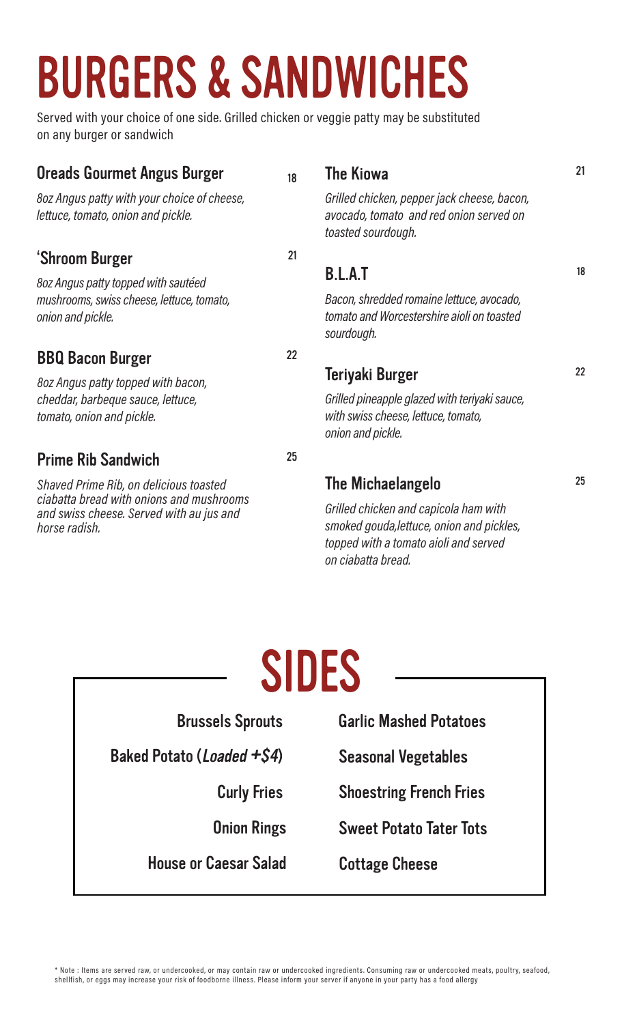# BURGERS & SANDWICHES

Served with your choice of one side. Grilled chicken or veggie patty may be substituted on any burger or sandwich

| <b>Oreads Gourmet Angus Burger</b>                                                                                                              | 18 | <b>The Kiowa</b>                                                                                                                                  | 21 |
|-------------------------------------------------------------------------------------------------------------------------------------------------|----|---------------------------------------------------------------------------------------------------------------------------------------------------|----|
| 8oz Angus patty with your choice of cheese,<br>lettuce, tomato, onion and pickle.                                                               |    | Grilled chicken, pepper jack cheese, bacon,<br>avocado, tomato and red onion served on<br>toasted sourdough.                                      |    |
| 'Shroom Burger                                                                                                                                  | 21 |                                                                                                                                                   |    |
| 8oz Angus patty topped with sautéed                                                                                                             |    | <b>B.L.A.T</b>                                                                                                                                    | 18 |
| mushrooms, swiss cheese, lettuce, tomato,<br>onion and pickle.                                                                                  |    | Bacon, shredded romaine lettuce, avocado,<br>tomato and Worcestershire aioli on toasted<br>sourdough.                                             |    |
| <b>BBQ Bacon Burger</b>                                                                                                                         | 22 |                                                                                                                                                   |    |
| 8oz Angus patty topped with bacon,<br>cheddar, barbeque sauce, lettuce,<br>tomato, onion and pickle.                                            |    | Teriyaki Burger                                                                                                                                   | 22 |
|                                                                                                                                                 |    | Grilled pineapple glazed with teriyaki sauce,<br>with swiss cheese, lettuce, tomato,<br>onion and pickle.                                         |    |
| <b>Prime Rib Sandwich</b>                                                                                                                       | 25 |                                                                                                                                                   |    |
| Shaved Prime Rib, on delicious toasted<br>ciabatta bread with onions and mushrooms<br>and swiss cheese. Served with au jus and<br>horse radish. |    | The Michaelangelo                                                                                                                                 | 25 |
|                                                                                                                                                 |    | Grilled chicken and capicola ham with<br>smoked gouda, lettuce, onion and pickles,<br>topped with a tomato aioli and served<br>on ciabatta bread. |    |

# SIDES

| <b>Brussels Sprouts</b>            | <b>Garlic Mashed Potatoes</b>  |
|------------------------------------|--------------------------------|
| Baked Potato ( <i>Loaded +S4</i> ) | <b>Seasonal Vegetables</b>     |
| <b>Curly Fries</b>                 | <b>Shoestring French Fries</b> |
| <b>Onion Rings</b>                 | <b>Sweet Potato Tater Tots</b> |
| <b>House or Caesar Salad</b>       | <b>Cottage Cheese</b>          |
|                                    |                                |